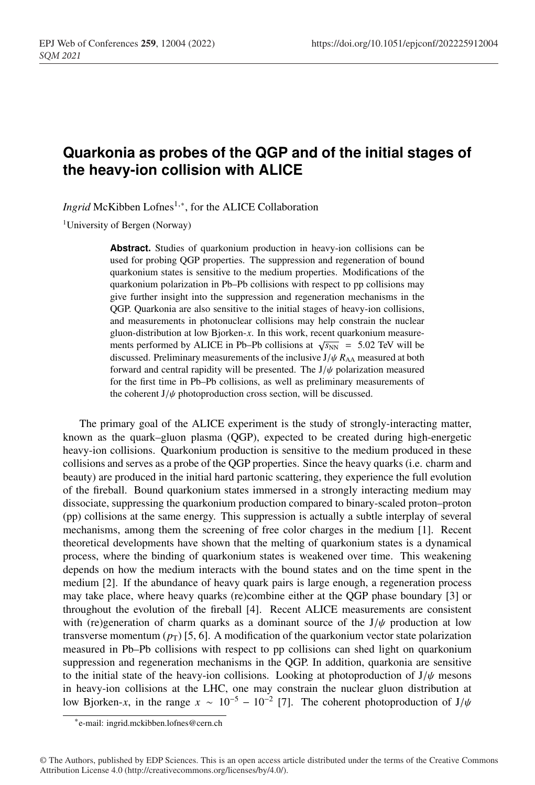## **Quarkonia as probes of the QGP and of the initial stages of the heavy-ion collision with ALICE**

*Ingrid* McKibben Lofnes<sup>1,∗</sup>, for the ALICE Collaboration

1University of Bergen (Norway)

**Abstract.** Studies of quarkonium production in heavy-ion collisions can be used for probing QGP properties. The suppression and regeneration of bound quarkonium states is sensitive to the medium properties. Modifications of the quarkonium polarization in Pb–Pb collisions with respect to pp collisions may give further insight into the suppression and regeneration mechanisms in the QGP. Quarkonia are also sensitive to the initial stages of heavy-ion collisions, and measurements in photonuclear collisions may help constrain the nuclear gluon-distribution at low Bjorken-*x*. In this work, recent quarkonium measurements performed by ALICE in Pb–Pb collisions at  $\sqrt{s_{NN}}$  = 5.02 TeV will be discussed. Preliminary measurements of the inclusive  $J/\psi R_{AA}$  measured at both forward and central rapidity will be presented. The  $J/\psi$  polarization measured for the first time in Pb–Pb collisions, as well as preliminary measurements of the coherent  $J/\psi$  photoproduction cross section, will be discussed.

The primary goal of the ALICE experiment is the study of strongly-interacting matter, known as the quark–gluon plasma (QGP), expected to be created during high-energetic heavy-ion collisions. Quarkonium production is sensitive to the medium produced in these collisions and serves as a probe of the QGP properties. Since the heavy quarks (i.e. charm and beauty) are produced in the initial hard partonic scattering, they experience the full evolution of the fireball. Bound quarkonium states immersed in a strongly interacting medium may dissociate, suppressing the quarkonium production compared to binary-scaled proton–proton (pp) collisions at the same energy. This suppression is actually a subtle interplay of several mechanisms, among them the screening of free color charges in the medium [1]. Recent theoretical developments have shown that the melting of quarkonium states is a dynamical process, where the binding of quarkonium states is weakened over time. This weakening depends on how the medium interacts with the bound states and on the time spent in the medium [2]. If the abundance of heavy quark pairs is large enough, a regeneration process may take place, where heavy quarks (re)combine either at the QGP phase boundary [3] or throughout the evolution of the fireball [4]. Recent ALICE measurements are consistent with (re)generation of charm quarks as a dominant source of the  $J/\psi$  production at low transverse momentum  $(p_T)$  [5, 6]. A modification of the quarkonium vector state polarization measured in Pb–Pb collisions with respect to pp collisions can shed light on quarkonium suppression and regeneration mechanisms in the QGP. In addition, quarkonia are sensitive to the initial state of the heavy-ion collisions. Looking at photoproduction of  $J/\psi$  mesons in heavy-ion collisions at the LHC, one may constrain the nuclear gluon distribution at low Bjorken-*x*, in the range  $x \sim 10^{-5} - 10^{-2}$  [7]. The coherent photoproduction of J/ $\psi$ 

<sup>∗</sup>e-mail: ingrid.mckibben.lofnes@cern.ch

<sup>©</sup> The Authors, published by EDP Sciences. This is an open access article distributed under the terms of the Creative Commons Attribution License 4.0 (http://creativecommons.org/licenses/by/4.0/).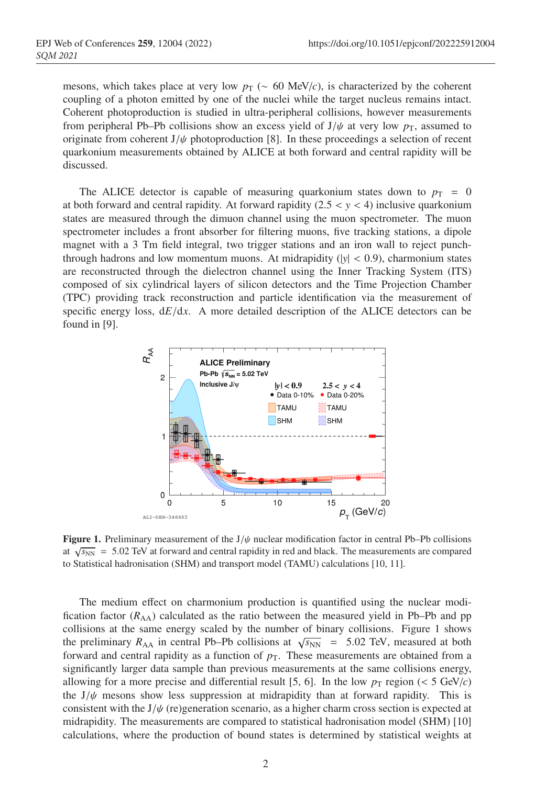mesons, which takes place at very low  $p_T \sim 60 \text{ MeV}/c$ , is characterized by the coherent coupling of a photon emitted by one of the nuclei while the target nucleus remains intact. Coherent photoproduction is studied in ultra-peripheral collisions, however measurements from peripheral Pb–Pb collisions show an excess yield of  $J/\psi$  at very low  $p<sub>T</sub>$ , assumed to originate from coherent  $J/\psi$  photoproduction [8]. In these proceedings a selection of recent quarkonium measurements obtained by ALICE at both forward and central rapidity will be discussed.

The ALICE detector is capable of measuring quarkonium states down to  $p_T = 0$ at both forward and central rapidity. At forward rapidity  $(2.5 < y < 4)$  inclusive quarkonium states are measured through the dimuon channel using the muon spectrometer. The muon spectrometer includes a front absorber for filtering muons, five tracking stations, a dipole magnet with a 3 Tm field integral, two trigger stations and an iron wall to reject punchthrough hadrons and low momentum muons. At midrapidity ( $|y|$  < 0.9), charmonium states are reconstructed through the dielectron channel using the Inner Tracking System (ITS) composed of six cylindrical layers of silicon detectors and the Time Projection Chamber (TPC) providing track reconstruction and particle identification via the measurement of specific energy loss, d*E*/d*x*. A more detailed description of the ALICE detectors can be found in [9].



**Figure 1.** Preliminary measurement of the  $J/\psi$  nuclear modification factor in central Pb–Pb collisions at  $\sqrt{s_{NN}}$  = 5.02 TeV at forward and central rapidity in red and black. The measurements are compared to Statistical hadronisation (SHM) and transport model (TAMU) calculations [10, 11].

The medium effect on charmonium production is quantified using the nuclear modification factor  $(R_{AA})$  calculated as the ratio between the measured yield in Pb–Pb and pp collisions at the same energy scaled by the number of binary collisions. Figure 1 shows the preliminary  $R_{AA}$  in central Pb–Pb collisions at  $\sqrt{s_{NN}}$  = 5.02 TeV, measured at both forward and central rapidity as a function of  $p<sub>T</sub>$ . These measurements are obtained from a significantly larger data sample than previous measurements at the same collisions energy, allowing for a more precise and differential result [5, 6]. In the low  $p<sub>T</sub>$  region (< 5 GeV/*c*) the  $J/\psi$  mesons show less suppression at midrapidity than at forward rapidity. This is consistent with the  $J/\psi$  (re)generation scenario, as a higher charm cross section is expected at midrapidity. The measurements are compared to statistical hadronisation model (SHM) [10] calculations, where the production of bound states is determined by statistical weights at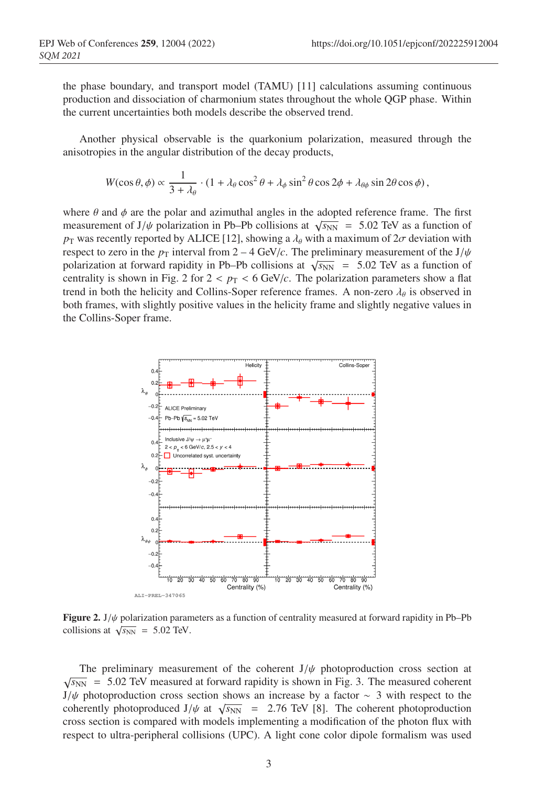the phase boundary, and transport model (TAMU) [11] calculations assuming continuous production and dissociation of charmonium states throughout the whole QGP phase. Within the current uncertainties both models describe the observed trend.

Another physical observable is the quarkonium polarization, measured through the anisotropies in the angular distribution of the decay products,

$$
W(\cos\theta,\phi) \propto \frac{1}{3+\lambda_{\theta}} \cdot (1+\lambda_{\theta}\cos^2\theta + \lambda_{\phi}\sin^2\theta\cos 2\phi + \lambda_{\theta\phi}\sin 2\theta\cos\phi),
$$

where  $\theta$  and  $\phi$  are the polar and azimuthal angles in the adopted reference frame. The first measurement of J/ $\psi$  polarization in Pb–Pb collisions at  $\sqrt{s_{NN}}$  = 5.02 TeV as a function of  $p_T$  was recently reported by ALICE [12], showing a  $\lambda_\theta$  with a maximum of  $2\sigma$  deviation with respect to zero in the  $p_T$  interval from 2 – 4 GeV/*c*. The preliminary measurement of the J/ $\psi$ polarization at forward rapidity in Pb–Pb collisions at  $\sqrt{s_{NN}}$  = 5.02 TeV as a function of centrality is shown in Fig. 2 for  $2 < p<sub>T</sub> < 6$  GeV/*c*. The polarization parameters show a flat trend in both the helicity and Collins-Soper reference frames. A non-zero  $\lambda_{\theta}$  is observed in both frames, with slightly positive values in the helicity frame and slightly negative values in the Collins-Soper frame.



**Figure 2.** J/ $\psi$  polarization parameters as a function of centrality measured at forward rapidity in Pb–Pb collisions at  $\sqrt{s_{NN}}$  = 5.02 TeV.

The preliminary measurement of the coherent  $J/\psi$  photoproduction cross section at  $\sqrt{s_{NN}}$  = 5.02 TeV measured at forward rapidity is shown in Fig. 3. The measured coherent J/ $\psi$  photoproduction cross section shows an increase by a factor ~ 3 with respect to the coherently photoproduced  $J/\psi$  at  $\sqrt{s_{NN}}$  = 2.76 TeV [8]. The coherent photoproduction cross section is compared with models implementing a modification of the photon flux with respect to ultra-peripheral collisions (UPC). A light cone color dipole formalism was used